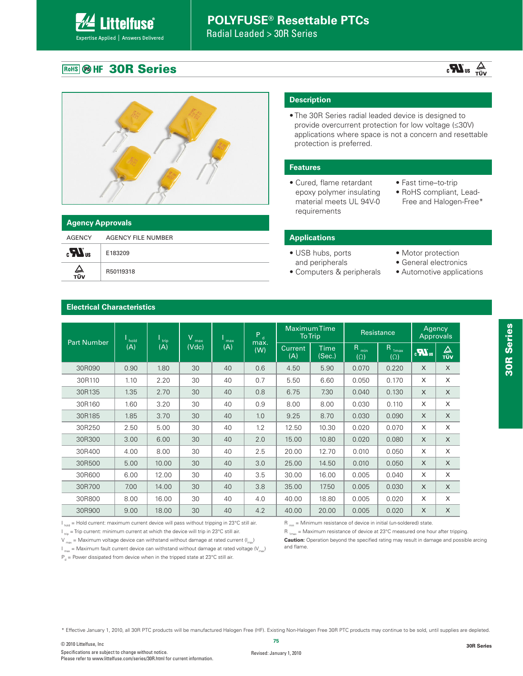Radial Leaded > 30R Series

### **ROHS @ HF 30R Series**

**Littelfuse®** Expertise Applied | Answers Delivered

# $\frac{1}{\sqrt{U}}$  au  $\frac{1}{\sqrt{U}}$



| <b>Agency Approvals</b> |                    |  |  |  |  |  |
|-------------------------|--------------------|--|--|--|--|--|
| AGENCY                  | AGENCY FILE NUMBER |  |  |  |  |  |
| $\mathbf{r}$            | E183209            |  |  |  |  |  |
| ∠<br>тüv                | R50119318          |  |  |  |  |  |

#### **Description**

• The 30R Series radial leaded device is designed to provide overcurrent protection for low voltage (≤30V) applications where space is not a concern and resettable protection is preferred.

#### **Features**

- Cured, flame retardant epoxy polymer insulating material meets UL 94V-0 requirements
- Fast time–to-trip
- RoHS compliant, Lead- Free and Halogen-Free\*

#### **Applications**

- USB hubs, ports and peripherals
- Computers & peripherals
- Motor protection
- General electronics
- Automotive applications

| <b>Part Number</b> | hold<br>(A) | trip  | V<br>max | max | P<br>$\mathbf{d}$ |                       | <b>MaximumTime</b><br><b>To Trip</b> |                        | Resistance                          |                 | Agency<br><b>Approvals</b> |  |
|--------------------|-------------|-------|----------|-----|-------------------|-----------------------|--------------------------------------|------------------------|-------------------------------------|-----------------|----------------------------|--|
|                    |             | (A)   | (Vdc)    | (A) | max.<br>(W)       | <b>Current</b><br>(A) | Time<br>(Sec.)                       | R<br>min<br>$(\Omega)$ | R<br>1 <sub>max</sub><br>$(\Omega)$ | $\sum_{\alpha}$ | $\Delta$<br><b>TÜV</b>     |  |
| 30R090             | 0.90        | 1.80  | 30       | 40  | 0.6               | 4.50                  | 5.90                                 | 0.070                  | 0.220                               | $\times$        | X                          |  |
| 30R110             | 1.10        | 2.20  | 30       | 40  | 0.7               | 5.50                  | 6.60                                 | 0.050                  | 0.170                               | X               | X                          |  |
| 30R135             | 1.35        | 2.70  | 30       | 40  | 0.8               | 6.75                  | 7.30                                 | 0.040                  | 0.130                               | X               | X                          |  |
| 30R160             | 1.60        | 3.20  | 30       | 40  | 0.9               | 8.00                  | 8.00                                 | 0.030                  | 0.110                               | X               | X                          |  |
| 30R185             | 1.85        | 3.70  | 30       | 40  | 1.0               | 9.25                  | 8.70                                 | 0.030                  | 0.090                               | $\times$        | $\mathsf{X}$               |  |
| 30R250             | 2.50        | 5.00  | 30       | 40  | 1.2               | 12.50                 | 10.30                                | 0.020                  | 0.070                               | X               | X                          |  |
| 30R300             | 3.00        | 6.00  | 30       | 40  | 2.0               | 15.00                 | 10.80                                | 0.020                  | 0.080                               | $\times$        | X                          |  |
| 30R400             | 4.00        | 8.00  | 30       | 40  | 2.5               | 20.00                 | 12.70                                | 0.010                  | 0.050                               | X               | X                          |  |
| 30R500             | 5.00        | 10.00 | 30       | 40  | 3.0               | 25.00                 | 14.50                                | 0.010                  | 0.050                               | $\times$        | X                          |  |
| 30R600             | 6.00        | 12.00 | 30       | 40  | 3.5               | 30.00                 | 16.00                                | 0.005                  | 0.040                               | X               | X                          |  |
| 30R700             | 7.00        | 14.00 | 30       | 40  | 3.8               | 35.00                 | 17.50                                | 0.005                  | 0.030                               | $\times$        | X                          |  |
| 30R800             | 8.00        | 16.00 | 30       | 40  | 4.0               | 40.00                 | 18.80                                | 0.005                  | 0.020                               | X               | X                          |  |
| 30R900             | 9.00        | 18.00 | 30       | 40  | 4.2               | 40.00                 | 20.00                                | 0.005                  | 0.020                               | X               | X                          |  |

#### **Electrical Characteristics**

 $I_{hold}$  = Hold current: maximum current device will pass without tripping in 23°C still air.

 $I_{\text{triv}}$  = Trip current: minimum current at which the device will trip in 23°C still air.

 $V_{\text{max}}$  = Maximum voltage device can withstand without damage at rated current ( $I_{\text{max}}$ )  $\omega$  = Maximum fault current device can withstand without damage at rated voltage (V<sub>max</sub>)

 $P_d$  = Power dissipated from device when in the tripped state at 23°C still air.

 $R_{min}$  = Minimum resistance of device in initial (un-soldered) state.

 $R_{1\text{max}}$  = Maximum resistance of device at 23°C measured one hour after tripping.

**Caution:** Operation beyond the specified rating may result in damage and possible arcing and flame.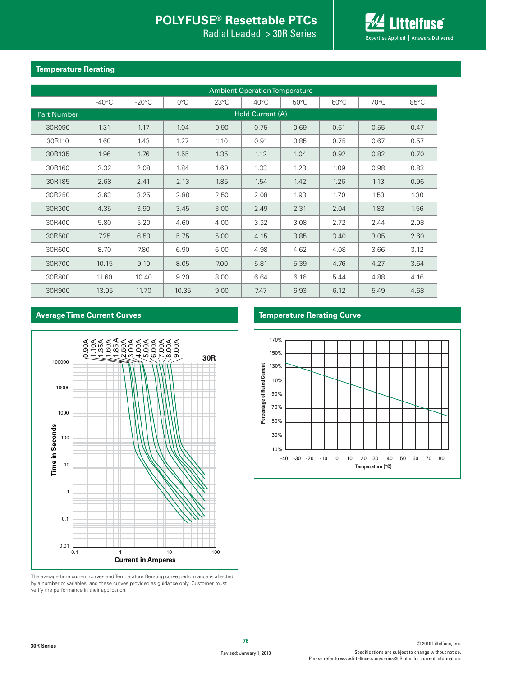Radial Leaded > 30R Series



#### **Temperature Rerating**

|                    | <b>Ambient Operation Temperature</b> |                 |               |                |                |                |                |                |                |  |
|--------------------|--------------------------------------|-----------------|---------------|----------------|----------------|----------------|----------------|----------------|----------------|--|
|                    | $-40^{\circ}$ C                      | $-20^{\circ}$ C | $0^{\circ}$ C | $23^{\circ}$ C | $40^{\circ}$ C | $50^{\circ}$ C | $60^{\circ}$ C | $70^{\circ}$ C | $85^{\circ}$ C |  |
| <b>Part Number</b> | Hold Current (A)                     |                 |               |                |                |                |                |                |                |  |
| 30R090             | 1.31                                 | 1.17            | 1.04          | 0.90           | 0.75           | 0.69           | 0.61           | 0.55           | 0.47           |  |
| 30R110             | 1.60                                 | 1.43            | 1.27          | 1.10           | 0.91           | 0.85           | 0.75           | 0.67           | 0.57           |  |
| 30R135             | 1.96                                 | 1.76            | 1.55          | 1.35           | 1.12           | 1.04           | 0.92           | 0.82           | 0.70           |  |
| 30R160             | 2.32                                 | 2.08            | 1.84          | 1.60           | 1.33           | 1.23           | 1.09           | 0.98           | 0.83           |  |
| 30R185             | 2.68                                 | 2.41            | 2.13          | 1.85           | 1.54           | 1.42           | 1.26           | 1.13           | 0.96           |  |
| 30R250             | 3.63                                 | 3.25            | 2.88          | 2.50           | 2.08           | 1.93           | 1.70           | 1.53           | 1.30           |  |
| 30R300             | 4.35                                 | 3.90            | 3.45          | 3.00           | 2.49           | 2.31           | 2.04           | 1.83           | 1.56           |  |
| 30R400             | 5.80                                 | 5.20            | 4.60          | 4.00           | 3.32           | 3.08           | 2.72           | 2.44           | 2.08           |  |
| 30R500             | 7.25                                 | 6.50            | 5.75          | 5.00           | 4.15           | 3.85           | 3.40           | 3.05           | 2.60           |  |
| 30R600             | 8.70                                 | 7.80            | 6.90          | 6.00           | 4.98           | 4.62           | 4.08           | 3.66           | 3.12           |  |
| 30R700             | 10.15                                | 9.10            | 8.05          | 7.00           | 5.81           | 5.39           | 4.76           | 4.27           | 3.64           |  |
| 30R800             | 11.60                                | 10.40           | 9.20          | 8.00           | 6.64           | 6.16           | 5.44           | 4.88           | 4.16           |  |
| 30R900             | 13.05                                | 11.70           | 10.35         | 9.00           | 7.47           | 6.93           | 6.12           | 5.49           | 4.68           |  |

#### **Average Time Current Curves**



The average time current curves and Temperature Rerating curve performance is affected by a number or variables, and these curves provided as guidance only. Customer must verify the performance in their application.

#### **Temperature Rerating Curve**

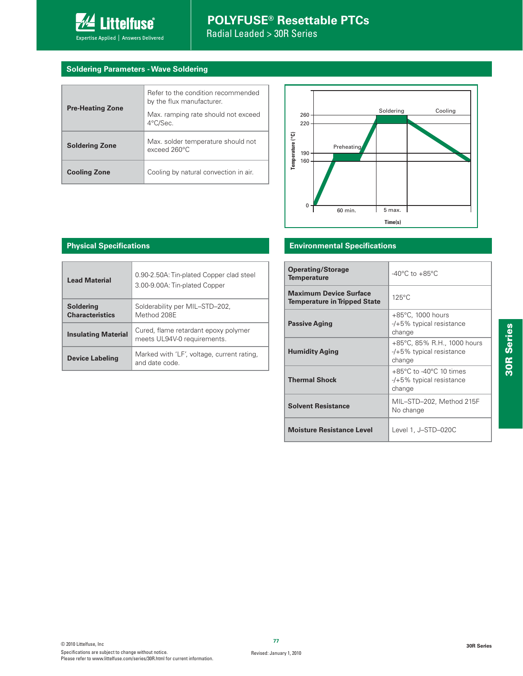

#### **Soldering Parameters - Wave Soldering**

| <b>Pre-Heating Zone</b> | Refer to the condition recommended<br>by the flux manufacturer.<br>Max. ramping rate should not exceed<br>4°C/Sec. |
|-------------------------|--------------------------------------------------------------------------------------------------------------------|
| <b>Soldering Zone</b>   | Max. solder temperature should not<br>$exceed 260^{\circ}$ C                                                       |
| <b>Cooling Zone</b>     | Cooling by natural convection in air.                                                                              |



#### **Physical Specifications**

| <b>Lead Material</b>                       | 0.90-2.50A: Tin-plated Copper clad steel<br>3.00-9.00A: Tin-plated Copper |
|--------------------------------------------|---------------------------------------------------------------------------|
| <b>Soldering</b><br><b>Characteristics</b> | Solderability per MIL-STD-202,<br>Method 208F                             |
| <b>Insulating Material</b>                 | Cured, flame retardant epoxy polymer<br>meets UL94V-0 requirements.       |
| <b>Device Labeling</b>                     | Marked with 'LF', voltage, current rating,<br>and date code.              |

#### **Environmental Specifications**

| <b>Operating/Storage</b><br><b>Temperature</b>                       | $-40^{\circ}$ C to $+85^{\circ}$ C                                                 |
|----------------------------------------------------------------------|------------------------------------------------------------------------------------|
| <b>Maximum Device Surface</b><br><b>Temperature in Tripped State</b> | $125^{\circ}$ C                                                                    |
| <b>Passive Aging</b>                                                 | $+85^{\circ}$ C, 1000 hours<br>-/+5% typical resistance<br>change                  |
| <b>Humidity Aging</b>                                                | +85°C, 85% R.H., 1000 hours<br>-/+5% typical resistance<br>change                  |
| <b>Thermal Shock</b>                                                 | $+85^{\circ}$ C to -40 $^{\circ}$ C 10 times<br>-/+5% typical resistance<br>change |
| <b>Solvent Resistance</b>                                            | MIL-STD-202, Method 215F<br>No change                                              |
| <b>Moisture Resistance Level</b>                                     | Level 1, J-STD-020C                                                                |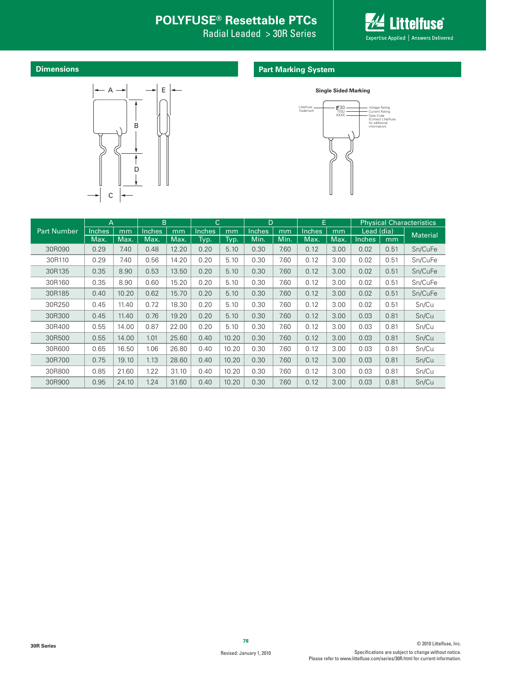Radial Leaded > 30R Series



**Dimensions**

#### **Part Marking System**





|                    | $\overline{A}$ |       | B             |       | $\mathsf{C}$  |       | D             |      | E             |      | <b>Physical Characteristics</b> |      |                 |
|--------------------|----------------|-------|---------------|-------|---------------|-------|---------------|------|---------------|------|---------------------------------|------|-----------------|
| <b>Part Number</b> | <b>Inches</b>  | mm    | <b>Inches</b> | mm    | <b>Inches</b> | mm    | <b>Inches</b> | mm   | <b>Inches</b> | mm   | Lead (dia)                      |      | <b>Material</b> |
|                    | Max.           | Max.  | Max.          | Max.  | Typ.          | Typ.  | Min.          | Min. | Max.          | Max. | <b>Inches</b>                   | mm   |                 |
| 30R090             | 0.29           | 7.40  | 0.48          | 12.20 | 0.20          | 5.10  | 0.30          | 7.60 | 0.12          | 3.00 | 0.02                            | 0.51 | Sn/CuFe         |
| 30R110             | 0.29           | 7.40  | 0.56          | 14.20 | 0.20          | 5.10  | 0.30          | 7.60 | 0.12          | 3.00 | 0.02                            | 0.51 | Sn/CuFe         |
| 30R135             | 0.35           | 8.90  | 0.53          | 13.50 | 0.20          | 5.10  | 0.30          | 7.60 | 0.12          | 3.00 | 0.02                            | 0.51 | Sn/CuFe         |
| 30R160             | 0.35           | 8.90  | 0.60          | 15.20 | 0.20          | 5.10  | 0.30          | 7.60 | 0.12          | 3.00 | 0.02                            | 0.51 | Sn/CuFe         |
| 30R185             | 0.40           | 10.20 | 0.62          | 15.70 | 0.20          | 5.10  | 0.30          | 7.60 | 0.12          | 3.00 | 0.02                            | 0.51 | Sn/CuFe         |
| 30R250             | 0.45           | 11.40 | 0.72          | 18.30 | 0.20          | 5.10  | 0.30          | 7.60 | 0.12          | 3.00 | 0.02                            | 0.51 | Sn/Cu           |
| 30R300             | 0.45           | 11.40 | 0.76          | 19.20 | 0.20          | 5.10  | 0.30          | 7.60 | 0.12          | 3.00 | 0.03                            | 0.81 | Sn/Cu           |
| 30R400             | 0.55           | 14.00 | 0.87          | 22.00 | 0.20          | 5.10  | 0.30          | 7.60 | 0.12          | 3.00 | 0.03                            | 0.81 | Sn/Cu           |
| 30R500             | 0.55           | 14.00 | 1.01          | 25.60 | 0.40          | 10.20 | 0.30          | 7.60 | 0.12          | 3.00 | 0.03                            | 0.81 | Sn/Cu           |
| 30R600             | 0.65           | 16.50 | 1.06          | 26.80 | 0.40          | 10.20 | 0.30          | 7.60 | 0.12          | 3.00 | 0.03                            | 0.81 | Sn/Cu           |
| 30R700             | 0.75           | 19.10 | 1.13          | 28.60 | 0.40          | 10.20 | 0.30          | 7.60 | 0.12          | 3.00 | 0.03                            | 0.81 | Sn/Cu           |
| 30R800             | 0.85           | 21.60 | 1.22          | 31.10 | 0.40          | 10.20 | 0.30          | 7.60 | 0.12          | 3.00 | 0.03                            | 0.81 | Sn/Cu           |
| 30R900             | 0.95           | 24.10 | 1.24          | 31.60 | 0.40          | 10.20 | 0.30          | 7.60 | 0.12          | 3.00 | 0.03                            | 0.81 | Sn/Cu           |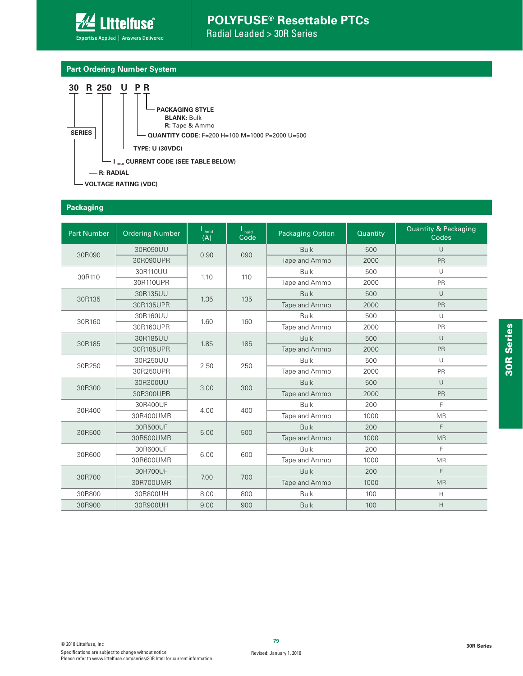

#### **Part Ordering Number System**



#### **Packaging**

| <b>Part Number</b> | <b>Ordering Number</b> | l <sub>hold</sub> | hold | <b>Packaging Option</b> | Quantity | <b>Quantity &amp; Packaging</b> |
|--------------------|------------------------|-------------------|------|-------------------------|----------|---------------------------------|
|                    |                        | (A)               | Code |                         |          | Codes                           |
| 30R090             | 30R090UU               | 0.90              | 090  | <b>Bulk</b>             | 500      | $\cup$                          |
|                    | 30R090UPR              |                   |      | Tape and Ammo           | 2000     | PR                              |
| 30R110             | 30R110UU               | 1.10              | 110  | <b>Bulk</b>             | 500      | $\cup$                          |
|                    | 30R110UPR              |                   |      | Tape and Ammo           | 2000     | PR                              |
|                    | 30R135UU               |                   |      | <b>Bulk</b>             | 500      | $\cup$                          |
| 30R135             | 30R135UPR              | 1.35              | 135  | Tape and Ammo           | 2000     | PR                              |
|                    | 30R160UU               |                   |      | <b>Bulk</b>             | 500      | U                               |
| 30R160             | 30R160UPR              | 1.60              | 160  | Tape and Ammo           | 2000     | PR                              |
|                    | 30R185UU               |                   |      | <b>Bulk</b>             | 500      | $\cup$                          |
| 30R185             | 30R185UPR              | 1.85              | 185  | Tape and Ammo           | 2000     | PR                              |
|                    | 30R250UU               |                   | 250  | <b>Bulk</b>             | 500      | $\cup$                          |
| 30R250             | 30R250UPR              | 2.50              |      | Tape and Ammo           | 2000     | PR                              |
|                    | 30R300UU               |                   |      | <b>Bulk</b>             | 500      | U                               |
| 30R300             | 30R300UPR              | 3.00              | 300  | Tape and Ammo           | 2000     | PR                              |
|                    | 30R400UF               |                   |      | <b>Bulk</b>             | 200      | F                               |
| 30R400             | 30R400UMR              | 4.00              | 400  | Tape and Ammo           | 1000     | <b>MR</b>                       |
|                    | 30R500UF               |                   |      | <b>Bulk</b>             | 200      | F                               |
| 30R500             | 30R500UMR              | 5.00              | 500  | Tape and Ammo           | 1000     | <b>MR</b>                       |
|                    | 30R600UF               |                   |      | <b>Bulk</b>             | 200      | F                               |
| 30R600             | 30R600UMR              | 6.00              | 600  | Tape and Ammo           | 1000     | <b>MR</b>                       |
|                    | 30R700UF               |                   |      | <b>Bulk</b>             | 200      | F                               |
| 30R700             | 30R700UMR              | 7.00              | 700  | Tape and Ammo           | 1000     | <b>MR</b>                       |
| 30R800             | 30R800UH               | 8.00              | 800  | <b>Bulk</b>             | 100      | H                               |
| 30R900             | 30R900UH               | 9.00              | 900  | <b>Bulk</b>             | 100      | H                               |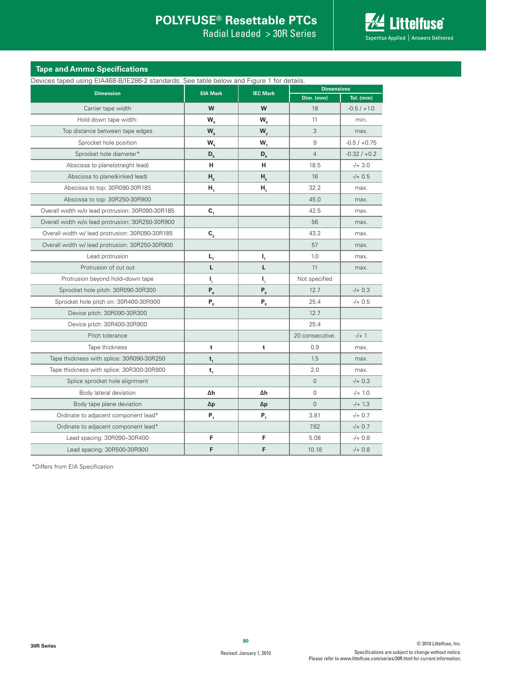Radial Leaded > 30R Series



#### **Tape and Ammo Specifications**

|                                                  | Devices taped using EIA468-B/IE286-2 standards. See table below and Figure 1 for details. |                                         |                   |                |  |  |  |  |  |
|--------------------------------------------------|-------------------------------------------------------------------------------------------|-----------------------------------------|-------------------|----------------|--|--|--|--|--|
| <b>Dimension</b>                                 | <b>EIA Mark</b>                                                                           | <b>IEC Mark</b>                         | <b>Dimensions</b> |                |  |  |  |  |  |
|                                                  |                                                                                           |                                         | Dim. (mm)         | Tol. (mm)      |  |  |  |  |  |
| Carrier tape width                               | W                                                                                         | W                                       | 18                | $-0.5 / +1.0$  |  |  |  |  |  |
| Hold down tape width:                            | $W_{4}$                                                                                   | W <sub>o</sub>                          | 11                | min.           |  |  |  |  |  |
| Top distance between tape edges                  | $W_{6}$                                                                                   | $W_{2}$                                 | 3                 | max.           |  |  |  |  |  |
| Sprocket hole position                           | $W_{\kappa}$                                                                              | W,                                      | 9                 | $-0.5 / +0.75$ |  |  |  |  |  |
| Sprocket hole diameter*                          | $D_{0}$                                                                                   | $D_{0}$                                 | $\overline{4}$    | $-0.32 / +0.2$ |  |  |  |  |  |
| Abscissa to plane(straight lead)                 | н                                                                                         | н                                       | 18.5              | $-/- 3.0$      |  |  |  |  |  |
| Abscissa to plane(kinked lead)                   | $H_{0}$                                                                                   | $H_{0}$                                 | 16                | $-/- 0.5$      |  |  |  |  |  |
| Abscissa to top: 30R090-30R185                   | $H_1$                                                                                     | Н,                                      | 32.2              | max.           |  |  |  |  |  |
| Abscissa to top: 30R250-30R900                   |                                                                                           |                                         | 45.0              | max.           |  |  |  |  |  |
| Overall width w/o lead protrusion: 30R090-30R185 | $C_{1}$                                                                                   |                                         | 42.5              | max.           |  |  |  |  |  |
| Overall width w/o lead protrusion: 30R250-30R900 |                                                                                           |                                         | 56                | max.           |  |  |  |  |  |
| Overall width w/ lead protrusion: 30R090-30R185  | $\mathbf{C}_{_{2}}$                                                                       |                                         | 43.2              | max.           |  |  |  |  |  |
| Overall width w/ lead protrusion: 30R250-30R900  |                                                                                           |                                         | 57                | max.           |  |  |  |  |  |
| Lead protrusion                                  | $L_{1}$                                                                                   | $I_{1}$                                 | 1.0               | max.           |  |  |  |  |  |
| Protrusion of cut out                            | L                                                                                         | L                                       | 11                | max.           |  |  |  |  |  |
| Protrusion beyond hold-down tape                 | $\mathbf{I}_{2}$                                                                          | $\mathbf{I}_{2}$                        | Not specified     |                |  |  |  |  |  |
| Sprocket hole pitch: 30R090-30R300               | $P_0$                                                                                     | $P_0$                                   | 12.7              | $-/- 0.3$      |  |  |  |  |  |
| Sprocket hole pitch on: 30R400-30R900            | $P_{0}$                                                                                   | $\mathsf{P}_{_{\scriptscriptstyle{0}}}$ | 25.4              | $-/- 0.5$      |  |  |  |  |  |
| Device pitch: 30R090-30R300                      |                                                                                           |                                         | 12.7              |                |  |  |  |  |  |
| Device pitch: 30R400-30R900                      |                                                                                           |                                         | 25.4              |                |  |  |  |  |  |
| Pitch tolerance                                  |                                                                                           |                                         | 20 consecutive.   | $-/-1$         |  |  |  |  |  |
| Tape thickness                                   | t                                                                                         | t                                       | 0.9               | max.           |  |  |  |  |  |
| Tape thickness with splice: 30R090-30R250        | $t_{1}$                                                                                   |                                         | 1.5               | max.           |  |  |  |  |  |
| Tape thickness with splice: 30R300-30R900        | $\mathbf{t}_{\scriptscriptstyle 1}$                                                       |                                         | 2.0               | max.           |  |  |  |  |  |
| Splice sprocket hole alignment                   |                                                                                           |                                         | $\mathbf 0$       | $-/- 0.3$      |  |  |  |  |  |
| Body lateral deviation                           | Δh                                                                                        | Δh                                      | $\mathbf 0$       | $-/- 1.0$      |  |  |  |  |  |
| Body tape plane deviation                        | Δp                                                                                        | $\Delta p$                              | $\overline{0}$    | $-/- 1.3$      |  |  |  |  |  |
| Ordinate to adjacent component lead*             | $P_{1}$                                                                                   | $P_{1}$                                 | 3.81              | $-/- 0.7$      |  |  |  |  |  |
| Ordinate to adjacent component lead*             |                                                                                           |                                         | 7.62              | $-/- 0.7$      |  |  |  |  |  |
| Lead spacing: 30R090-30R400                      | F                                                                                         | F                                       | 5.08              | $-/+$ 0.8      |  |  |  |  |  |
| Lead spacing: 30R500-30R900                      | F                                                                                         | F                                       | 10.18             | $-/- 0.8$      |  |  |  |  |  |

\*Differs from EIA Specification